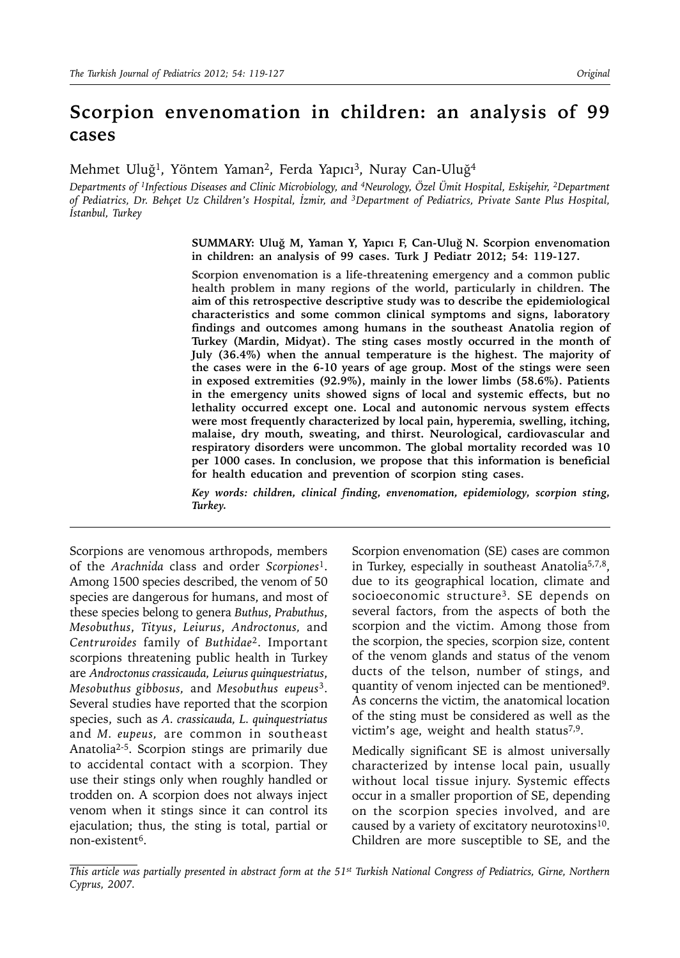# **Scorpion envenomation in children: an analysis of 99 cases**

Mehmet Uluğ<sup>1</sup>, Yöntem Yaman<sup>2</sup>, Ferda Yapıcı<sup>3</sup>, Nuray Can-Uluğ<sup>4</sup>

*Departments of 1Infectious Diseases and Clinic Microbiology, and 4Neurology, Özel Ümit Hospital, Eskişehir, 2Department of Pediatrics, Dr. Behçet Uz Children's Hospital, İzmir, and 3Department of Pediatrics, Private Sante Plus Hospital, İstanbul, Turkey*

> **SUMMARY: Uluğ M, Yaman Y, Yapıcı F, Can-Uluğ N. Scorpion envenomation in children: an analysis of 99 cases. Turk J Pediatr 2012; 54: 119-127.**

> **Scorpion envenomation is a life-threatening emergency and a common public health problem in many regions of the world, particularly in children. The aim of this retrospective descriptive study was to describe the epidemiological characteristics and some common clinical symptoms and signs, laboratory findings and outcomes among humans in the southeast Anatolia region of Turkey (Mardin, Midyat). The sting cases mostly occurred in the month of July (36.4%) when the annual temperature is the highest. The majority of the cases were in the 6-10 years of age group. Most of the stings were seen in exposed extremities (92.9%), mainly in the lower limbs (58.6%). Patients in the emergency units showed signs of local and systemic effects, but no lethality occurred except one. Local and autonomic nervous system effects were most frequently characterized by local pain, hyperemia, swelling, itching, malaise, dry mouth, sweating, and thirst. Neurological, cardiovascular and respiratory disorders were uncommon. The global mortality recorded was 10 per 1000 cases. In conclusion, we propose that this information is beneficial for health education and prevention of scorpion sting cases.**

> *Key words: children, clinical finding, envenomation, epidemiology, scorpion sting, Turkey.*

Scorpions are venomous arthropods, members of the *Arachnida* class and order *Scorpiones*1. Among 1500 species described, the venom of 50 species are dangerous for humans, and most of these species belong to genera *Buthus*, *Prabuthus*, *Mesobuthus*, *Tityus*, *Leiurus*, *Androctonus,* and *Centruroides* family of *Buthidae*2. Important scorpions threatening public health in Turkey are *Androctonus crassicauda, Leiurus quinquestriatus*, *Mesobuthus gibbosus,* and *Mesobuthus eupeus*3. Several studies have reported that the scorpion species, such as *A. crassicauda, L. quinquestriatus* and *M. eupeus,* are common in southeast Anatolia2-5. Scorpion stings are primarily due to accidental contact with a scorpion. They use their stings only when roughly handled or trodden on. A scorpion does not always inject venom when it stings since it can control its ejaculation; thus, the sting is total, partial or non-existent6.

Scorpion envenomation (SE) cases are common in Turkey, especially in southeast Anatolia<sup>5,7,8</sup>, due to its geographical location, climate and socioeconomic structure3. SE depends on several factors, from the aspects of both the scorpion and the victim. Among those from the scorpion, the species, scorpion size, content of the venom glands and status of the venom ducts of the telson, number of stings, and quantity of venom injected can be mentioned9. As concerns the victim, the anatomical location of the sting must be considered as well as the victim's age, weight and health status<sup>7,9</sup>.

Medically significant SE is almost universally characterized by intense local pain, usually without local tissue injury. Systemic effects occur in a smaller proportion of SE, depending on the scorpion species involved, and are caused by a variety of excitatory neurotoxins<sup>10</sup>. Children are more susceptible to SE, and the

*This article was partially presented in abstract form at the 51st Turkish National Congress of Pediatrics, Girne, Northern Cyprus, 2007.*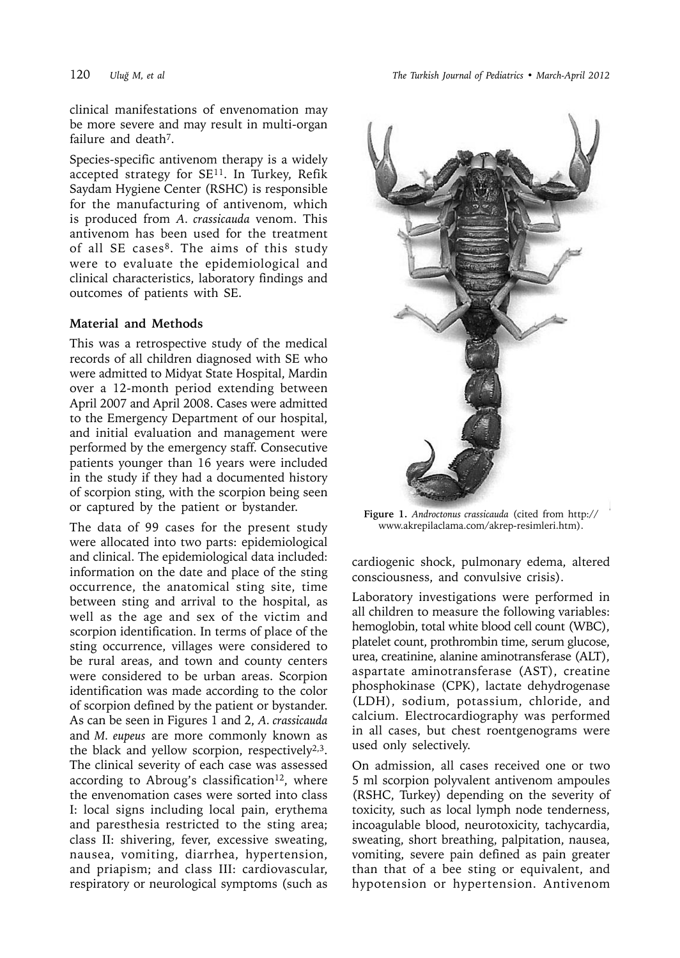120 *Uluğ M, et al The Turkish Journal of Pediatrics • March-April 2012*

clinical manifestations of envenomation may be more severe and may result in multi-organ failure and death<sup>7</sup>.

Species-specific antivenom therapy is a widely accepted strategy for  $SE<sup>11</sup>$ . In Turkey, Refik Saydam Hygiene Center (RSHC) is responsible for the manufacturing of antivenom, which is produced from *A. crassicauda* venom. This antivenom has been used for the treatment of all SE cases<sup>8</sup>. The aims of this study were to evaluate the epidemiological and clinical characteristics, laboratory findings and outcomes of patients with SE.

### **Material and Methods**

This was a retrospective study of the medical records of all children diagnosed with SE who were admitted to Midyat State Hospital, Mardin over a 12-month period extending between April 2007 and April 2008. Cases were admitted to the Emergency Department of our hospital, and initial evaluation and management were performed by the emergency staff. Consecutive patients younger than 16 years were included in the study if they had a documented history of scorpion sting, with the scorpion being seen or captured by the patient or bystander.

The data of 99 cases for the present study were allocated into two parts: epidemiological and clinical. The epidemiological data included: information on the date and place of the sting occurrence, the anatomical sting site, time between sting and arrival to the hospital, as well as the age and sex of the victim and scorpion identification. In terms of place of the sting occurrence, villages were considered to be rural areas, and town and county centers were considered to be urban areas. Scorpion identification was made according to the color of scorpion defined by the patient or bystander. As can be seen in Figures 1 and 2, *A. crassicauda*  and *M. eupeus* are more commonly known as the black and yellow scorpion, respectively $2,3$ . The clinical severity of each case was assessed according to Abroug's classification<sup>12</sup>, where the envenomation cases were sorted into class I: local signs including local pain, erythema and paresthesia restricted to the sting area; class II: shivering, fever, excessive sweating, nausea, vomiting, diarrhea, hypertension, and priapism; and class III: cardiovascular, respiratory or neurological symptoms (such as



**Figure 1.** *Androctonus crassicauda* (cited from http:// www.akrepilaclama.com/akrep-resimleri.htm).

cardiogenic shock, pulmonary edema, altered consciousness, and convulsive crisis).

Laboratory investigations were performed in all children to measure the following variables: hemoglobin, total white blood cell count (WBC), platelet count, prothrombin time, serum glucose, urea, creatinine, alanine aminotransferase (ALT), aspartate aminotransferase (AST), creatine phosphokinase (CPK), lactate dehydrogenase (LDH), sodium, potassium, chloride, and calcium. Electrocardiography was performed in all cases, but chest roentgenograms were used only selectively.

On admission, all cases received one or two 5 ml scorpion polyvalent antivenom ampoules (RSHC, Turkey) depending on the severity of toxicity, such as local lymph node tenderness, incoagulable blood, neurotoxicity, tachycardia, sweating, short breathing, palpitation, nausea, vomiting, severe pain defined as pain greater than that of a bee sting or equivalent, and hypotension or hypertension. Antivenom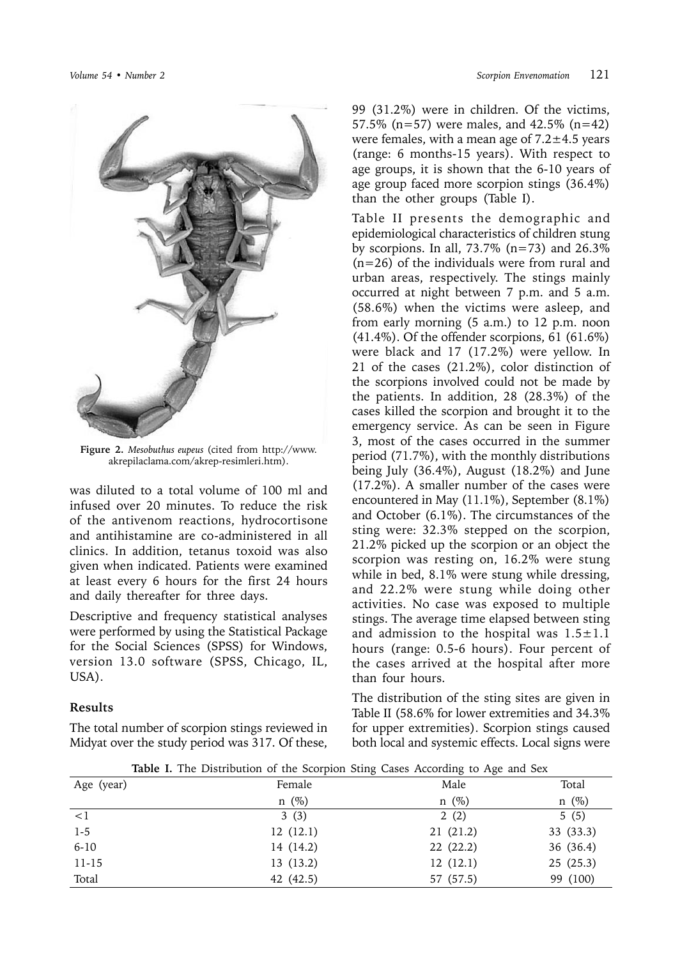

**Figure 2.** *Mesobuthus eupeus* (cited from http://www. akrepilaclama.com/akrep-resimleri.htm).

was diluted to a total volume of 100 ml and infused over 20 minutes. To reduce the risk of the antivenom reactions, hydrocortisone and antihistamine are co-administered in all clinics. In addition, tetanus toxoid was also given when indicated. Patients were examined at least every 6 hours for the first 24 hours and daily thereafter for three days.

Descriptive and frequency statistical analyses were performed by using the Statistical Package for the Social Sciences (SPSS) for Windows, version 13.0 software (SPSS, Chicago, IL, USA).

### **Results**

The total number of scorpion stings reviewed in Midyat over the study period was 317. Of these,

99 (31.2%) were in children. Of the victims, 57.5% (n=57) were males, and 42.5% (n=42) were females, with a mean age of  $7.2 \pm 4.5$  years (range: 6 months-15 years). With respect to age groups, it is shown that the 6-10 years of age group faced more scorpion stings (36.4%) than the other groups (Table I).

Table II presents the demographic and epidemiological characteristics of children stung by scorpions. In all,  $73.7\%$  (n=73) and  $26.3\%$ (n=26) of the individuals were from rural and urban areas, respectively. The stings mainly occurred at night between 7 p.m. and 5 a.m. (58.6%) when the victims were asleep, and from early morning (5 a.m.) to 12 p.m. noon (41.4%). Of the offender scorpions, 61 (61.6%) were black and 17 (17.2%) were yellow. In 21 of the cases (21.2%), color distinction of the scorpions involved could not be made by the patients. In addition, 28 (28.3%) of the cases killed the scorpion and brought it to the emergency service. As can be seen in Figure 3, most of the cases occurred in the summer period (71.7%), with the monthly distributions being July (36.4%), August (18.2%) and June (17.2%). A smaller number of the cases were encountered in May (11.1%), September (8.1%) and October (6.1%). The circumstances of the sting were: 32.3% stepped on the scorpion, 21.2% picked up the scorpion or an object the scorpion was resting on, 16.2% were stung while in bed, 8.1% were stung while dressing, and 22.2% were stung while doing other activities. No case was exposed to multiple stings. The average time elapsed between sting and admission to the hospital was  $1.5 \pm 1.1$ hours (range: 0.5-6 hours). Four percent of the cases arrived at the hospital after more than four hours.

The distribution of the sting sites are given in Table II (58.6% for lower extremities and 34.3% for upper extremities). Scorpion stings caused both local and systemic effects. Local signs were

|            | Table I. The Distribution of the Scorpion Sting Cases According to Age and Sex |            |            |
|------------|--------------------------------------------------------------------------------|------------|------------|
| Age (year) | Female                                                                         | Male       | Total      |
|            | $n \ (\%)$                                                                     | $n \ (\%)$ | $n \ (\%)$ |
| <1         | 3(3)                                                                           | 2(2)       | 5(5)       |
| $1 - 5$    | 12(12.1)                                                                       | 21(21.2)   | 33(33.3)   |
| $6 - 10$   | 14 (14.2)                                                                      | 22(22.2)   | 36 (36.4)  |
| $11 - 15$  | 13(13.2)                                                                       | 12(12.1)   | 25(25.3)   |
| Total      | 42 (42.5)                                                                      | 57 (57.5)  | 99 (100)   |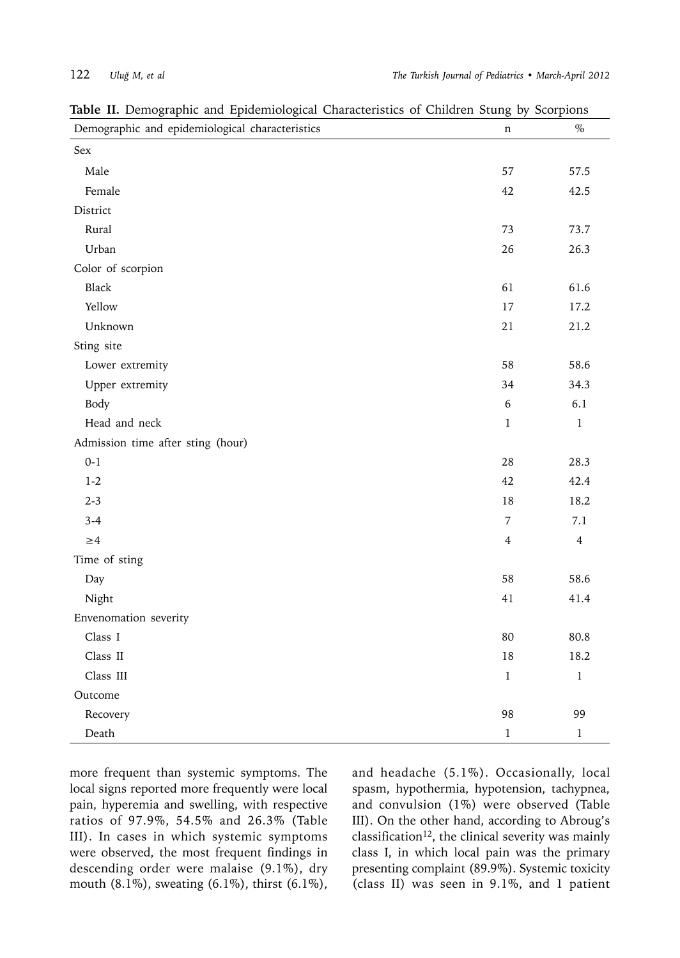| Demographic and epidemiological characteristics | n              | $\%$           |
|-------------------------------------------------|----------------|----------------|
| Sex                                             |                |                |
| Male                                            | 57             | 57.5           |
| Female                                          | 42             | 42.5           |
| District                                        |                |                |
| Rural                                           | 73             | 73.7           |
| Urban                                           | 26             | 26.3           |
| Color of scorpion                               |                |                |
| Black                                           | 61             | 61.6           |
| Yellow                                          | 17             | 17.2           |
| Unknown                                         | 21             | 21.2           |
| Sting site                                      |                |                |
| Lower extremity                                 | 58             | 58.6           |
| Upper extremity                                 | 34             | 34.3           |
| Body                                            | 6              | 6.1            |
| Head and neck                                   | $\mathbf{1}$   | $\mathbf{1}$   |
| Admission time after sting (hour)               |                |                |
| $0 - 1$                                         | 28             | 28.3           |
| $1-2$                                           | 42             | 42.4           |
| $2 - 3$                                         | 18             | 18.2           |
| $3-4$                                           | $\overline{7}$ | 7.1            |
| $\geq$ 4                                        | $\overline{4}$ | $\overline{4}$ |
| Time of sting                                   |                |                |
| Day                                             | 58             | 58.6           |
| Night                                           | 41             | 41.4           |
| Envenomation severity                           |                |                |
| Class I                                         | 80             | 80.8           |
| Class II                                        | $18\,$         | 18.2           |
| Class III                                       | $\mathbf{1}$   | $\mathbf{1}$   |
| Outcome                                         |                |                |
| Recovery                                        | 98             | 99             |
| Death                                           | $\,1$          | $\,1$          |

**Table II.** Demographic and Epidemiological Characteristics of Children Stung by Scorpions

more frequent than systemic symptoms. The local signs reported more frequently were local pain, hyperemia and swelling, with respective ratios of 97.9%, 54.5% and 26.3% (Table III). In cases in which systemic symptoms were observed, the most frequent findings in descending order were malaise (9.1%), dry mouth (8.1%), sweating (6.1%), thirst (6.1%), and headache (5.1%). Occasionally, local spasm, hypothermia, hypotension, tachypnea, and convulsion (1%) were observed (Table III). On the other hand, according to Abroug's  $classification<sup>12</sup>$ , the clinical severity was mainly class I, in which local pain was the primary presenting complaint (89.9%). Systemic toxicity (class II) was seen in 9.1%, and 1 patient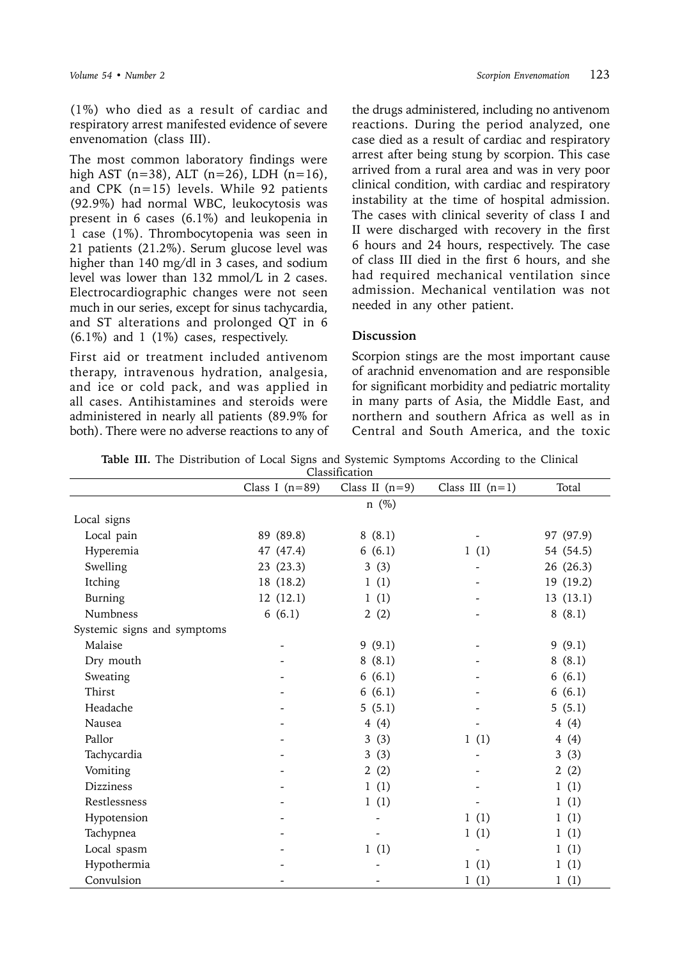(1%) who died as a result of cardiac and respiratory arrest manifested evidence of severe envenomation (class III).

The most common laboratory findings were high AST ( $n=38$ ), ALT ( $n=26$ ), LDH ( $n=16$ ), and CPK (n=15) levels. While 92 patients (92.9%) had normal WBC, leukocytosis was present in 6 cases (6.1%) and leukopenia in 1 case (1%). Thrombocytopenia was seen in 21 patients (21.2%). Serum glucose level was higher than 140 mg/dl in 3 cases, and sodium level was lower than 132 mmol/L in 2 cases. Electrocardiographic changes were not seen much in our series, except for sinus tachycardia, and ST alterations and prolonged QT in 6  $(6.1\%)$  and 1  $(1\%)$  cases, respectively.

First aid or treatment included antivenom therapy, intravenous hydration, analgesia, and ice or cold pack, and was applied in all cases. Antihistamines and steroids were administered in nearly all patients (89.9% for both). There were no adverse reactions to any of the drugs administered, including no antivenom reactions. During the period analyzed, one case died as a result of cardiac and respiratory arrest after being stung by scorpion. This case arrived from a rural area and was in very poor clinical condition, with cardiac and respiratory instability at the time of hospital admission. The cases with clinical severity of class I and II were discharged with recovery in the first 6 hours and 24 hours, respectively. The case of class III died in the first 6 hours, and she had required mechanical ventilation since admission. Mechanical ventilation was not needed in any other patient.

## **Discussion**

Scorpion stings are the most important cause of arachnid envenomation and are responsible for significant morbidity and pediatric mortality in many parts of Asia, the Middle East, and northern and southern Africa as well as in Central and South America, and the toxic

|                           |  |  |  |  |  |  |  |  |  | Table III. The Distribution of Local Signs and Systemic Symptoms According to the Clinical |  |  |
|---------------------------|--|--|--|--|--|--|--|--|--|--------------------------------------------------------------------------------------------|--|--|
| C <sub>local</sub> factor |  |  |  |  |  |  |  |  |  |                                                                                            |  |  |

|                             |                  | Classification   |                   |                     |
|-----------------------------|------------------|------------------|-------------------|---------------------|
|                             | Class I $(n=89)$ | Class II $(n=9)$ | Class III $(n=1)$ | Total               |
|                             |                  | $n \ (\%)$       |                   |                     |
| Local signs                 |                  |                  |                   |                     |
| Local pain                  | 89 (89.8)        | 8(8.1)           |                   | 97 (97.9)           |
| Hyperemia                   | 47 (47.4)        | 6(6.1)           | 1(1)              | 54 (54.5)           |
| Swelling                    | 23(23.3)         | 3(3)             |                   | 26 (26.3)           |
| Itching                     | 18 (18.2)        | 1(1)             |                   | 19 (19.2)           |
| Burning                     | 12(12.1)         | 1(1)             |                   | 13(13.1)            |
| Numbness                    | 6(6.1)           | 2(2)             |                   | 8(8.1)              |
| Systemic signs and symptoms |                  |                  |                   |                     |
| Malaise                     |                  | 9(9.1)           |                   | 9(9.1)              |
| Dry mouth                   |                  | 8(8.1)           |                   | 8(8.1)              |
| Sweating                    |                  | 6(6.1)           |                   | 6(6.1)              |
| Thirst                      |                  | 6(6.1)           |                   | 6(6.1)              |
| Headache                    |                  | 5(5.1)           |                   | 5(5.1)              |
| Nausea                      |                  | 4(4)             |                   | 4(4)                |
| Pallor                      |                  | 3(3)             | 1(1)              | 4(4)                |
| Tachycardia                 |                  | 3(3)             |                   | 3(3)                |
| Vomiting                    |                  | 2(2)             |                   | 2(2)                |
| <b>Dizziness</b>            |                  | 1(1)             |                   | 1(1)                |
| Restlessness                |                  | 1(1)             |                   | 1(1)                |
| Hypotension                 |                  |                  | 1(1)              | 1(1)                |
| Tachypnea                   |                  |                  | 1(1)              | (1)<br>$\mathbf{1}$ |
| Local spasm                 |                  | 1(1)             |                   | 1(1)                |
| Hypothermia                 |                  |                  | 1(1)              | 1(1)                |
| Convulsion                  |                  |                  | 1(1)              | 1(1)                |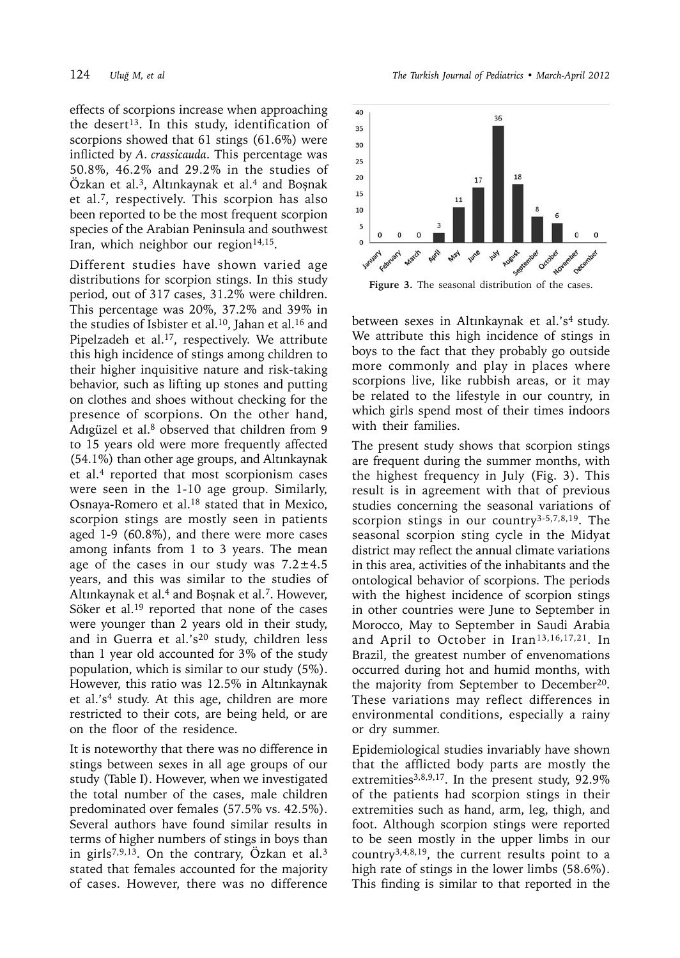effects of scorpions increase when approaching the desert<sup>13</sup>. In this study, identification of scorpions showed that 61 stings (61.6%) were inflicted by *A. crassicauda*. This percentage was 50.8%, 46.2% and 29.2% in the studies of Özkan et al.<sup>3</sup>, Altınkaynak et al.<sup>4</sup> and Boşnak et al.7, respectively. This scorpion has also been reported to be the most frequent scorpion species of the Arabian Peninsula and southwest Iran, which neighbor our region $14,15$ .

Different studies have shown varied age distributions for scorpion stings. In this study period, out of 317 cases, 31.2% were children. This percentage was 20%, 37.2% and 39% in the studies of Isbister et al.<sup>10</sup>, Jahan et al.<sup>16</sup> and Pipelzadeh et al.17, respectively. We attribute this high incidence of stings among children to their higher inquisitive nature and risk-taking behavior, such as lifting up stones and putting on clothes and shoes without checking for the presence of scorpions. On the other hand, Adıgüzel et al.<sup>8</sup> observed that children from 9 to 15 years old were more frequently affected (54.1%) than other age groups, and Altınkaynak et al.4 reported that most scorpionism cases were seen in the 1-10 age group. Similarly, Osnaya-Romero et al.18 stated that in Mexico, scorpion stings are mostly seen in patients aged 1-9 (60.8%), and there were more cases among infants from 1 to 3 years. The mean age of the cases in our study was  $7.2 \pm 4.5$ years, and this was similar to the studies of Altınkaynak et al. $4$  and Bosnak et al.<sup>7</sup>. However, Söker et al.<sup>19</sup> reported that none of the cases were younger than 2 years old in their study, and in Guerra et al.'s<sup>20</sup> study, children less than 1 year old accounted for 3% of the study population, which is similar to our study (5%). However, this ratio was 12.5% in Altınkaynak et al.'s<sup>4</sup> study. At this age, children are more restricted to their cots, are being held, or are on the floor of the residence.

It is noteworthy that there was no difference in stings between sexes in all age groups of our study (Table I). However, when we investigated the total number of the cases, male children predominated over females (57.5% vs. 42.5%). Several authors have found similar results in terms of higher numbers of stings in boys than in girls<sup>7,9,13</sup>. On the contrary, Özkan et al.<sup>3</sup> stated that females accounted for the majority of cases. However, there was no difference



**Figure 3.** The seasonal distribution of the cases.

between sexes in Altınkaynak et al.'s<sup>4</sup> study. We attribute this high incidence of stings in boys to the fact that they probably go outside more commonly and play in places where scorpions live, like rubbish areas, or it may be related to the lifestyle in our country, in which girls spend most of their times indoors with their families.

The present study shows that scorpion stings are frequent during the summer months, with the highest frequency in July (Fig. 3). This result is in agreement with that of previous studies concerning the seasonal variations of scorpion stings in our country<sup>3-5,7,8,19</sup>. The seasonal scorpion sting cycle in the Midyat district may reflect the annual climate variations in this area, activities of the inhabitants and the ontological behavior of scorpions. The periods with the highest incidence of scorpion stings in other countries were June to September in Morocco, May to September in Saudi Arabia and April to October in Iran13,16,17,21. In Brazil, the greatest number of envenomations occurred during hot and humid months, with the majority from September to December<sup>20</sup>. These variations may reflect differences in environmental conditions, especially a rainy or dry summer.

Epidemiological studies invariably have shown that the afflicted body parts are mostly the extremities<sup>3,8,9,17</sup>. In the present study, 92.9% of the patients had scorpion stings in their extremities such as hand, arm, leg, thigh, and foot. Although scorpion stings were reported to be seen mostly in the upper limbs in our country3,4,8,19, the current results point to a high rate of stings in the lower limbs (58.6%). This finding is similar to that reported in the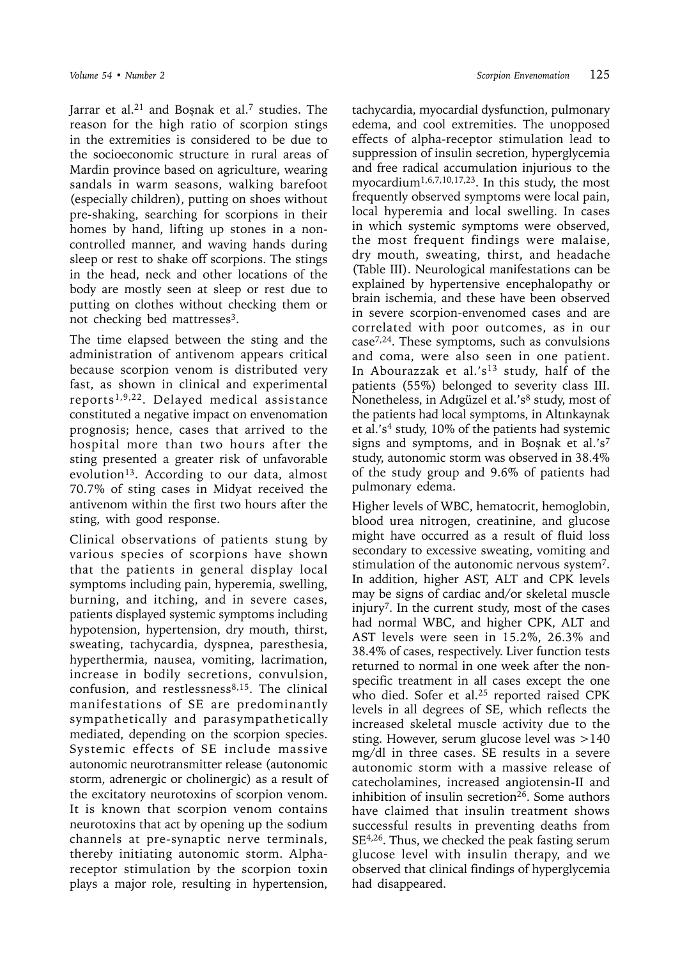Jarrar et al.<sup>21</sup> and Boșnak et al.<sup>7</sup> studies. The reason for the high ratio of scorpion stings in the extremities is considered to be due to the socioeconomic structure in rural areas of Mardin province based on agriculture, wearing sandals in warm seasons, walking barefoot (especially children), putting on shoes without pre-shaking, searching for scorpions in their homes by hand, lifting up stones in a noncontrolled manner, and waving hands during sleep or rest to shake off scorpions. The stings in the head, neck and other locations of the body are mostly seen at sleep or rest due to putting on clothes without checking them or not checking bed mattresses3.

The time elapsed between the sting and the administration of antivenom appears critical because scorpion venom is distributed very fast, as shown in clinical and experimental reports1,9,22. Delayed medical assistance constituted a negative impact on envenomation prognosis; hence, cases that arrived to the hospital more than two hours after the sting presented a greater risk of unfavorable evolution<sup>13</sup>. According to our data, almost 70.7% of sting cases in Midyat received the antivenom within the first two hours after the sting, with good response.

Clinical observations of patients stung by various species of scorpions have shown that the patients in general display local symptoms including pain, hyperemia, swelling, burning, and itching, and in severe cases, patients displayed systemic symptoms including hypotension, hypertension, dry mouth, thirst, sweating, tachycardia, dyspnea, paresthesia, hyperthermia, nausea, vomiting, lacrimation, increase in bodily secretions, convulsion, confusion, and restlessness8,15. The clinical manifestations of SE are predominantly sympathetically and parasympathetically mediated, depending on the scorpion species. Systemic effects of SE include massive autonomic neurotransmitter release (autonomic storm, adrenergic or cholinergic) as a result of the excitatory neurotoxins of scorpion venom. It is known that scorpion venom contains neurotoxins that act by opening up the sodium channels at pre-synaptic nerve terminals, thereby initiating autonomic storm. Alphareceptor stimulation by the scorpion toxin plays a major role, resulting in hypertension,

tachycardia, myocardial dysfunction, pulmonary edema, and cool extremities. The unopposed effects of alpha-receptor stimulation lead to suppression of insulin secretion, hyperglycemia and free radical accumulation injurious to the myocardium<sup>1,6,7,10,17,23</sup>. In this study, the most frequently observed symptoms were local pain, local hyperemia and local swelling. In cases in which systemic symptoms were observed, the most frequent findings were malaise, dry mouth, sweating, thirst, and headache (Table III). Neurological manifestations can be explained by hypertensive encephalopathy or brain ischemia, and these have been observed in severe scorpion-envenomed cases and are correlated with poor outcomes, as in our case7,24. These symptoms, such as convulsions and coma, were also seen in one patient. In Abourazzak et al.'s<sup>13</sup> study, half of the patients (55%) belonged to severity class III. Nonetheless, in Adıgüzel et al.'s<sup>8</sup> study, most of the patients had local symptoms, in Altınkaynak et al.'s<sup>4</sup> study, 10% of the patients had systemic signs and symptoms, and in Boşnak et al.'s7 study, autonomic storm was observed in 38.4% of the study group and 9.6% of patients had pulmonary edema.

Higher levels of WBC, hematocrit, hemoglobin, blood urea nitrogen, creatinine, and glucose might have occurred as a result of fluid loss secondary to excessive sweating, vomiting and stimulation of the autonomic nervous system7. In addition, higher AST, ALT and CPK levels may be signs of cardiac and/or skeletal muscle injury<sup>7</sup>. In the current study, most of the cases had normal WBC, and higher CPK, ALT and AST levels were seen in 15.2%, 26.3% and 38.4% of cases, respectively. Liver function tests returned to normal in one week after the nonspecific treatment in all cases except the one who died. Sofer et al.<sup>25</sup> reported raised CPK levels in all degrees of SE, which reflects the increased skeletal muscle activity due to the sting. However, serum glucose level was >140 mg/dl in three cases. SE results in a severe autonomic storm with a massive release of catecholamines, increased angiotensin-II and inhibition of insulin secretion $26$ . Some authors have claimed that insulin treatment shows successful results in preventing deaths from SE4,26. Thus, we checked the peak fasting serum glucose level with insulin therapy, and we observed that clinical findings of hyperglycemia had disappeared.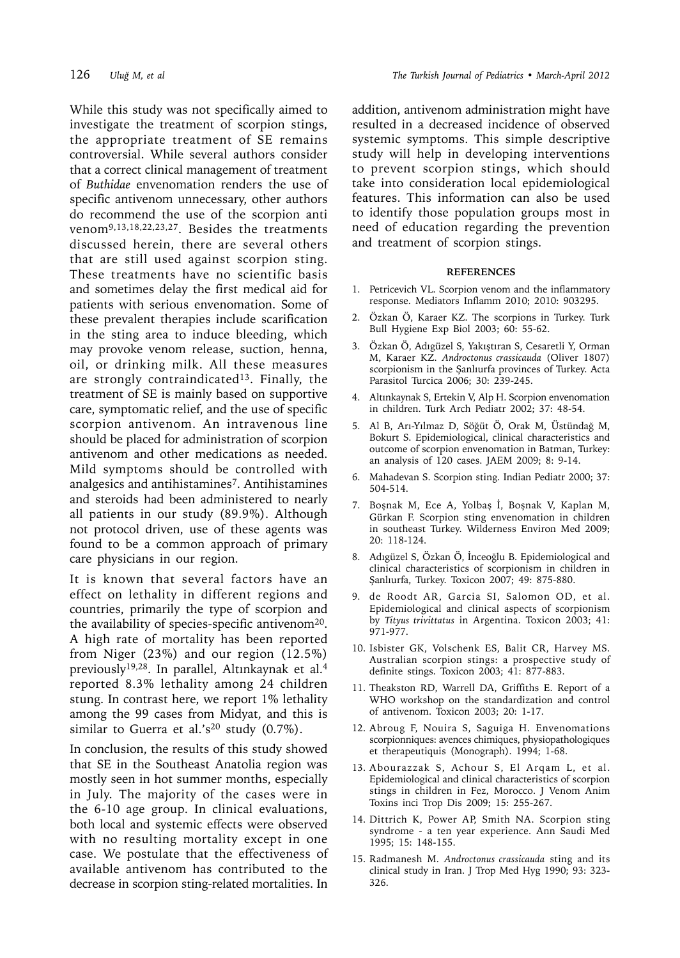While this study was not specifically aimed to investigate the treatment of scorpion stings, the appropriate treatment of SE remains controversial. While several authors consider that a correct clinical management of treatment of *Buthidae* envenomation renders the use of specific antivenom unnecessary, other authors do recommend the use of the scorpion anti venom9,13,18,22,23,27. Besides the treatments discussed herein, there are several others that are still used against scorpion sting. These treatments have no scientific basis and sometimes delay the first medical aid for patients with serious envenomation. Some of these prevalent therapies include scarification in the sting area to induce bleeding, which may provoke venom release, suction, henna, oil, or drinking milk. All these measures are strongly contraindicated<sup>13</sup>. Finally, the treatment of SE is mainly based on supportive care, symptomatic relief, and the use of specific scorpion antivenom. An intravenous line should be placed for administration of scorpion antivenom and other medications as needed. Mild symptoms should be controlled with analgesics and antihistamines<sup>7</sup>. Antihistamines and steroids had been administered to nearly all patients in our study (89.9%). Although not protocol driven, use of these agents was found to be a common approach of primary care physicians in our region.

It is known that several factors have an effect on lethality in different regions and countries, primarily the type of scorpion and the availability of species-specific antivenom<sup>20</sup>. A high rate of mortality has been reported from Niger (23%) and our region (12.5%) previously19,28. In parallel, Altınkaynak et al.4 reported 8.3% lethality among 24 children stung. In contrast here, we report 1% lethality among the 99 cases from Midyat, and this is similar to Guerra et al.'s<sup>20</sup> study  $(0.7\%)$ .

In conclusion, the results of this study showed that SE in the Southeast Anatolia region was mostly seen in hot summer months, especially in July. The majority of the cases were in the 6-10 age group. In clinical evaluations, both local and systemic effects were observed with no resulting mortality except in one case. We postulate that the effectiveness of available antivenom has contributed to the decrease in scorpion sting-related mortalities. In

addition, antivenom administration might have resulted in a decreased incidence of observed systemic symptoms. This simple descriptive study will help in developing interventions to prevent scorpion stings, which should take into consideration local epidemiological features. This information can also be used to identify those population groups most in need of education regarding the prevention and treatment of scorpion stings.

#### **REFERENCES**

- 1. Petricevich VL. Scorpion venom and the inflammatory response. Mediators Inflamm 2010; 2010: 903295.
- 2. Özkan Ö, Karaer KZ. The scorpions in Turkey. Turk Bull Hygiene Exp Biol 2003; 60: 55-62.
- 3. Özkan Ö, Adıgüzel S, Yakıştıran S, Cesaretli Y, Orman M, Karaer KZ. *Androctonus crassicauda* (Oliver 1807) scorpionism in the Şanlıurfa provinces of Turkey. Acta Parasitol Turcica 2006; 30: 239-245.
- 4. Altınkaynak S, Ertekin V, Alp H. Scorpion envenomation in children. Turk Arch Pediatr 2002; 37: 48-54.
- 5. Al B, Arı-Yılmaz D, Söğüt Ö, Orak M, Üstündağ M, Bokurt S. Epidemiological, clinical characteristics and outcome of scorpion envenomation in Batman, Turkey: an analysis of 120 cases. JAEM 2009; 8: 9-14.
- 6. Mahadevan S. Scorpion sting. Indian Pediatr 2000; 37: 504-514.
- 7. Boşnak M, Ece A, Yolbaş İ, Boşnak V, Kaplan M, Gürkan F. Scorpion sting envenomation in children in southeast Turkey. Wilderness Environ Med 2009; 20: 118-124.
- 8. Adıgüzel S, Özkan Ö, İnceoğlu B. Epidemiological and clinical characteristics of scorpionism in children in Şanlıurfa, Turkey. Toxicon 2007; 49: 875-880.
- 9. de Roodt AR, Garcia SI, Salomon OD, et al. Epidemiological and clinical aspects of scorpionism by *Tityus trivittatus* in Argentina. Toxicon 2003; 41: 971-977.
- 10. Isbister GK, Volschenk ES, Balit CR, Harvey MS. Australian scorpion stings: a prospective study of definite stings. Toxicon 2003; 41: 877-883.
- 11. Theakston RD, Warrell DA, Griffiths E. Report of a WHO workshop on the standardization and control of antivenom. Toxicon 2003; 20: 1-17.
- 12. Abroug F, Nouira S, Saguiga H. Envenomations scorpionniques: avences chimiques, physiopathologiques et therapeutiquis (Monograph). 1994; 1-68.
- 13. Abourazzak S, Achour S, El Arqam L, et al. Epidemiological and clinical characteristics of scorpion stings in children in Fez, Morocco. J Venom Anim Toxins inci Trop Dis 2009; 15: 255-267.
- 14. Dittrich K, Power AP, Smith NA. Scorpion sting syndrome - a ten year experience. Ann Saudi Med 1995; 15: 148-155.
- 15. Radmanesh M. *Androctonus crassicauda* sting and its clinical study in Iran. J Trop Med Hyg 1990; 93: 323- 326.